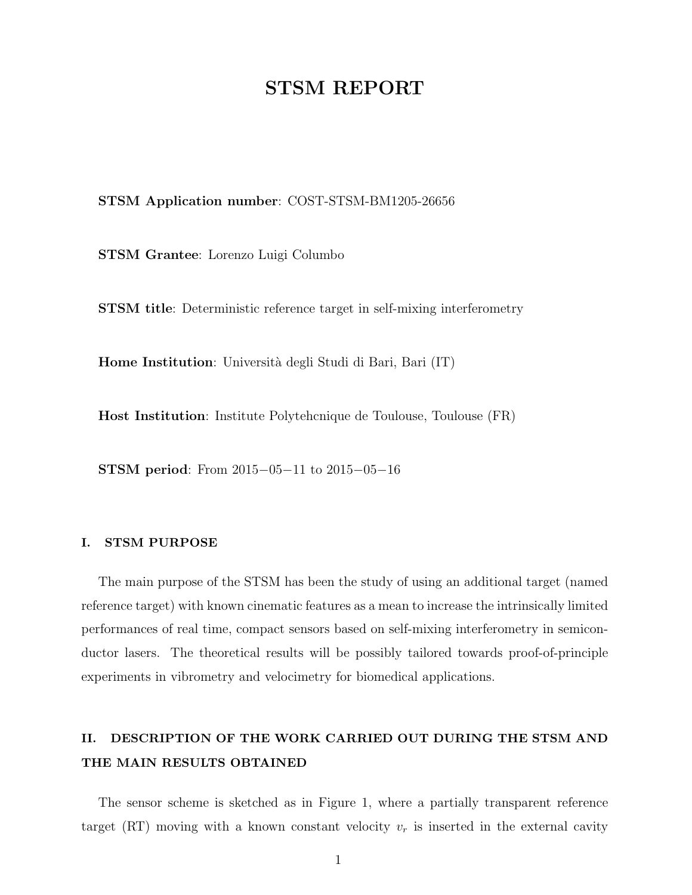## STSM REPORT

#### STSM Application number: COST-STSM-BM1205-26656

STSM Grantee: Lorenzo Luigi Columbo

STSM title: Deterministic reference target in self-mixing interferometry

Home Institution: Università degli Studi di Bari, Bari (IT)

Host Institution: Institute Polytehcnique de Toulouse, Toulouse (FR)

STSM period: From 2015−05−11 to 2015−05−16

#### I. STSM PURPOSE

The main purpose of the STSM has been the study of using an additional target (named reference target) with known cinematic features as a mean to increase the intrinsically limited performances of real time, compact sensors based on self-mixing interferometry in semiconductor lasers. The theoretical results will be possibly tailored towards proof-of-principle experiments in vibrometry and velocimetry for biomedical applications.

## II. DESCRIPTION OF THE WORK CARRIED OUT DURING THE STSM AND THE MAIN RESULTS OBTAINED

The sensor scheme is sketched as in Figure 1, where a partially transparent reference target (RT) moving with a known constant velocity  $v_r$  is inserted in the external cavity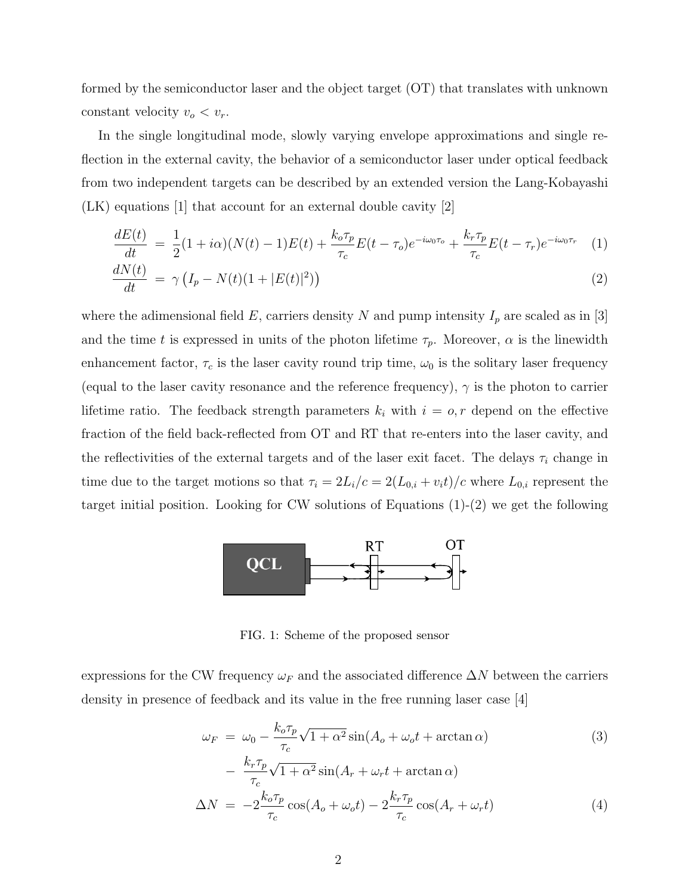formed by the semiconductor laser and the object target (OT) that translates with unknown constant velocity  $v_o < v_r$ .

In the single longitudinal mode, slowly varying envelope approximations and single reflection in the external cavity, the behavior of a semiconductor laser under optical feedback from two independent targets can be described by an extended version the Lang-Kobayashi (LK) equations [1] that account for an external double cavity [2]

$$
\frac{dE(t)}{dt} = \frac{1}{2}(1+i\alpha)(N(t)-1)E(t) + \frac{k_o \tau_p}{\tau_c}E(t-\tau_o)e^{-i\omega_0 \tau_o} + \frac{k_r \tau_p}{\tau_c}E(t-\tau_r)e^{-i\omega_0 \tau_r}
$$
(1)  

$$
dN(t) = (I - N(t))(1 + |E(t)|^2))
$$
(2)

$$
\frac{dN(t)}{dt} = \gamma \left( I_p - N(t)(1 + |E(t)|^2) \right) \tag{2}
$$

where the adimensional field  $E$ , carriers density  $N$  and pump intensity  $I_p$  are scaled as in [3] and the time t is expressed in units of the photon lifetime  $\tau_p$ . Moreover,  $\alpha$  is the linewidth enhancement factor,  $\tau_c$  is the laser cavity round trip time,  $\omega_0$  is the solitary laser frequency (equal to the laser cavity resonance and the reference frequency),  $\gamma$  is the photon to carrier lifetime ratio. The feedback strength parameters  $k_i$  with  $i = o, r$  depend on the effective fraction of the field back-reflected from OT and RT that re-enters into the laser cavity, and the reflectivities of the external targets and of the laser exit facet. The delays  $\tau_i$  change in time due to the target motions so that  $\tau_i = 2L_i/c = 2(L_{0,i} + v_i t)/c$  where  $L_{0,i}$  represent the target initial position. Looking for CW solutions of Equations (1)-(2) we get the following



FIG. 1: Scheme of the proposed sensor

expressions for the CW frequency  $\omega_F$  and the associated difference  $\Delta N$  between the carriers density in presence of feedback and its value in the free running laser case [4]

$$
\omega_F = \omega_0 - \frac{k_o \tau_p}{\tau_c} \sqrt{1 + \alpha^2} \sin(A_o + \omega_o t + \arctan \alpha)
$$
(3)  

$$
- \frac{k_r \tau_p}{\tau_c} \sqrt{1 + \alpha^2} \sin(A_r + \omega_r t + \arctan \alpha)
$$
  

$$
\Delta N = -2 \frac{k_o \tau_p}{\tau_c} \cos(A_o + \omega_o t) - 2 \frac{k_r \tau_p}{\tau_c} \cos(A_r + \omega_r t)
$$
(4)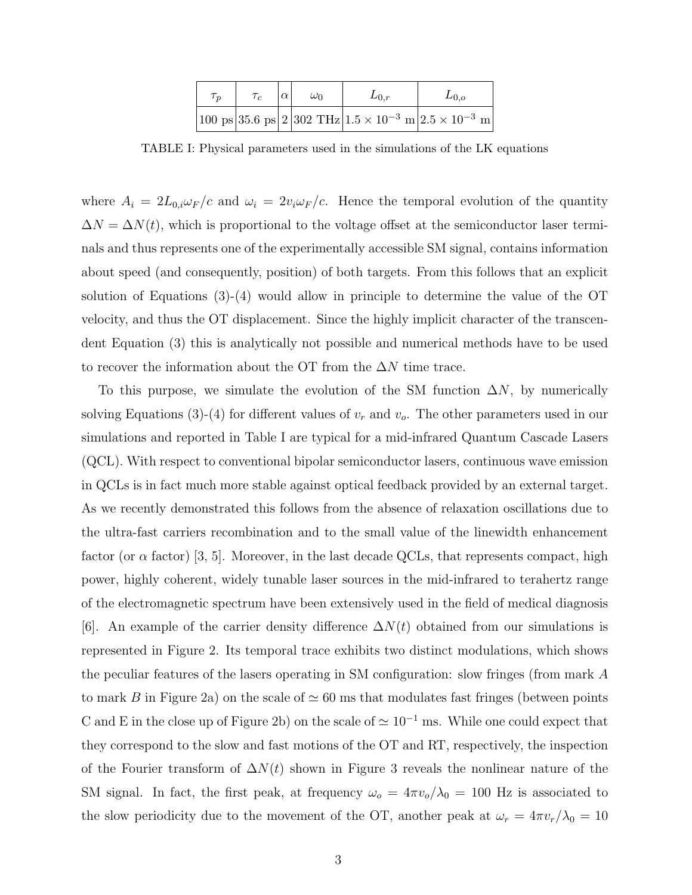| $\tau_n$ | $\alpha$ | $\omega_0$ | $L_{0,r}$ | $L_{0,o}$                                                                                                                                               |
|----------|----------|------------|-----------|---------------------------------------------------------------------------------------------------------------------------------------------------------|
|          |          |            |           | $\bigl 100\;\mathrm{ps}\bigr 35.6\;\mathrm{ps}\bigr 2\bigl 302\;\mathrm{THz}\bigr 1.5\times10^{-3}\;\mathrm{m}\bigr 2.5\times10^{-3}\;\mathrm{m}\bigr $ |

TABLE I: Physical parameters used in the simulations of the LK equations

where  $A_i = 2L_{0,i}\omega_F/c$  and  $\omega_i = 2v_i\omega_F/c$ . Hence the temporal evolution of the quantity  $\Delta N = \Delta N(t)$ , which is proportional to the voltage offset at the semiconductor laser terminals and thus represents one of the experimentally accessible SM signal, contains information about speed (and consequently, position) of both targets. From this follows that an explicit solution of Equations  $(3)-(4)$  would allow in principle to determine the value of the OT velocity, and thus the OT displacement. Since the highly implicit character of the transcendent Equation (3) this is analytically not possible and numerical methods have to be used to recover the information about the OT from the  $\Delta N$  time trace.

To this purpose, we simulate the evolution of the SM function  $\Delta N$ , by numerically solving Equations (3)-(4) for different values of  $v_r$  and  $v_o$ . The other parameters used in our simulations and reported in Table I are typical for a mid-infrared Quantum Cascade Lasers (QCL). With respect to conventional bipolar semiconductor lasers, continuous wave emission in QCLs is in fact much more stable against optical feedback provided by an external target. As we recently demonstrated this follows from the absence of relaxation oscillations due to the ultra-fast carriers recombination and to the small value of the linewidth enhancement factor (or  $\alpha$  factor) [3, 5]. Moreover, in the last decade QCLs, that represents compact, high power, highly coherent, widely tunable laser sources in the mid-infrared to terahertz range of the electromagnetic spectrum have been extensively used in the field of medical diagnosis [6]. An example of the carrier density difference  $\Delta N(t)$  obtained from our simulations is represented in Figure 2. Its temporal trace exhibits two distinct modulations, which shows the peculiar features of the lasers operating in SM configuration: slow fringes (from mark A to mark B in Figure 2a) on the scale of  $\simeq 60$  ms that modulates fast fringes (between points C and E in the close up of Figure 2b) on the scale of  $\simeq 10^{-1}$  ms. While one could expect that they correspond to the slow and fast motions of the OT and RT, respectively, the inspection of the Fourier transform of  $\Delta N(t)$  shown in Figure 3 reveals the nonlinear nature of the SM signal. In fact, the first peak, at frequency  $\omega_o = 4\pi v_o/\lambda_0 = 100$  Hz is associated to the slow periodicity due to the movement of the OT, another peak at  $\omega_r = 4\pi v_r/\lambda_0 = 10$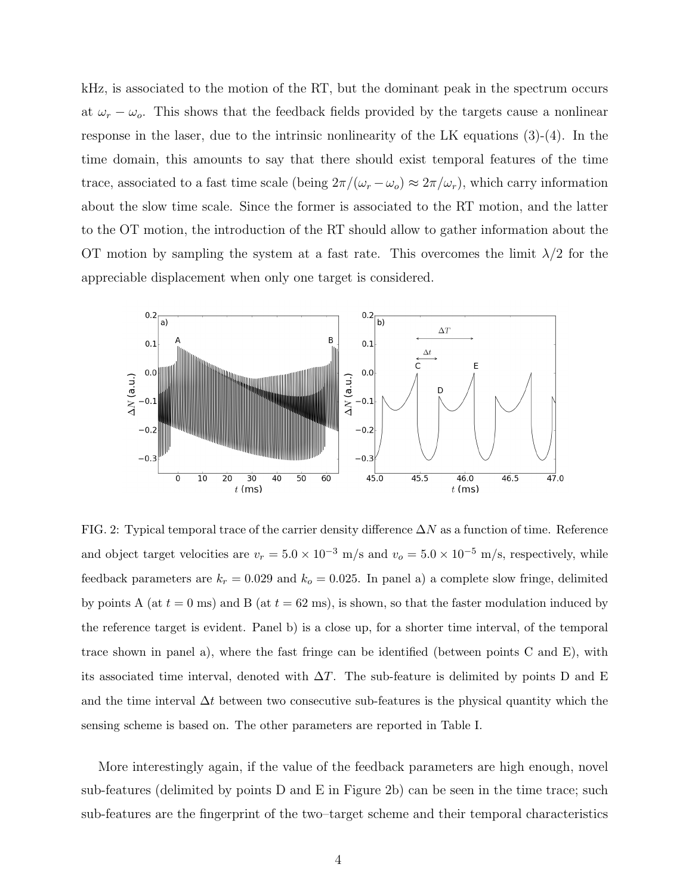kHz, is associated to the motion of the RT, but the dominant peak in the spectrum occurs at  $\omega_r - \omega_o$ . This shows that the feedback fields provided by the targets cause a nonlinear response in the laser, due to the intrinsic nonlinearity of the LK equations (3)-(4). In the time domain, this amounts to say that there should exist temporal features of the time trace, associated to a fast time scale (being  $2\pi/(\omega_r - \omega_o) \approx 2\pi/\omega_r$ ), which carry information about the slow time scale. Since the former is associated to the RT motion, and the latter to the OT motion, the introduction of the RT should allow to gather information about the OT motion by sampling the system at a fast rate. This overcomes the limit  $\lambda/2$  for the appreciable displacement when only one target is considered.



FIG. 2: Typical temporal trace of the carrier density difference  $\Delta N$  as a function of time. Reference and object target velocities are  $v_r = 5.0 \times 10^{-3}$  m/s and  $v_o = 5.0 \times 10^{-5}$  m/s, respectively, while feedback parameters are  $k_r = 0.029$  and  $k_o = 0.025$ . In panel a) a complete slow fringe, delimited by points A (at  $t = 0$  ms) and B (at  $t = 62$  ms), is shown, so that the faster modulation induced by the reference target is evident. Panel b) is a close up, for a shorter time interval, of the temporal trace shown in panel a), where the fast fringe can be identified (between points C and E), with its associated time interval, denoted with  $\Delta T$ . The sub-feature is delimited by points D and E and the time interval  $\Delta t$  between two consecutive sub-features is the physical quantity which the sensing scheme is based on. The other parameters are reported in Table I.

More interestingly again, if the value of the feedback parameters are high enough, novel sub-features (delimited by points D and E in Figure 2b) can be seen in the time trace; such sub-features are the fingerprint of the two–target scheme and their temporal characteristics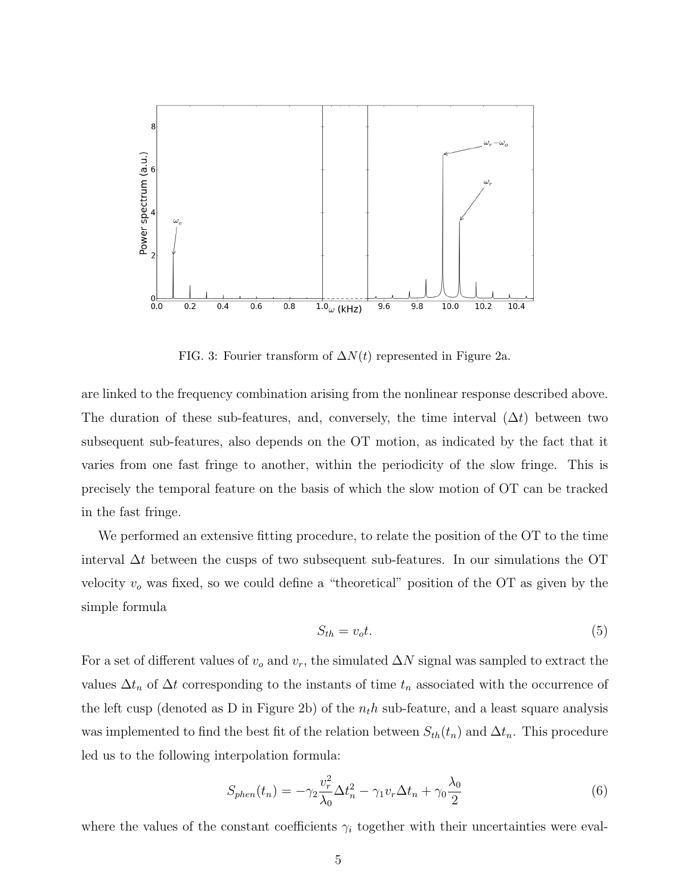

FIG. 3: Fourier transform of  $\Delta N(t)$  represented in Figure 2a.

are linked to the frequency combination arising from the nonlinear response described above. The duration of these sub-features, and, conversely, the time interval  $(\Delta t)$  between two subsequent sub-features, also depends on the OT motion, as indicated by the fact that it varies from one fast fringe to another, within the periodicity of the slow fringe. This is precisely the temporal feature on the basis of which the slow motion of OT can be tracked in the fast fringe.

We performed an extensive fitting procedure, to relate the position of the OT to the time interval  $\Delta t$  between the cusps of two subsequent sub-features. In our simulations the OT velocity  $v<sub>o</sub>$  was fixed, so we could define a "theoretical" position of the OT as given by the simple formula

$$
S_{th} = v_o t. \tag{5}
$$

For a set of different values of  $v<sub>o</sub>$  and  $v<sub>r</sub>$ , the simulated  $\Delta N$  signal was sampled to extract the values  $\Delta t_n$  of  $\Delta t$  corresponding to the instants of time  $t_n$  associated with the occurrence of the left cusp (denoted as D in Figure 2b) of the  $n<sub>t</sub>h$  sub-feature, and a least square analysis was implemented to find the best fit of the relation between  $S_{th}(t_n)$  and  $\Delta t_n$ . This procedure led us to the following interpolation formula:

$$
S_{phen}(t_n) = -\gamma_2 \frac{v_r^2}{\lambda_0} \Delta t_n^2 - \gamma_1 v_r \Delta t_n + \gamma_0 \frac{\lambda_0}{2}
$$
\n
$$
\tag{6}
$$

where the values of the constant coefficients  $\gamma_i$  together with their uncertainties were eval-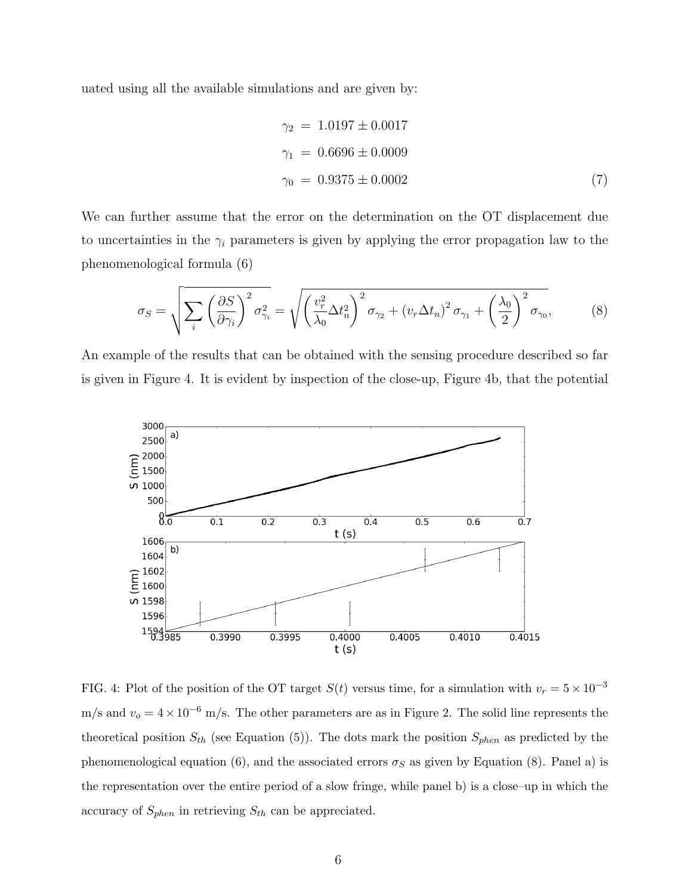uated using all the available simulations and are given by:

$$
\gamma_2 = 1.0197 \pm 0.0017
$$
  
\n
$$
\gamma_1 = 0.6696 \pm 0.0009
$$
  
\n
$$
\gamma_0 = 0.9375 \pm 0.0002
$$
\n(7)

We can further assume that the error on the determination on the OT displacement due to uncertainties in the  $\gamma_i$  parameters is given by applying the error propagation law to the phenomenological formula (6)

$$
\sigma_S = \sqrt{\sum_i \left(\frac{\partial S}{\partial \gamma_i}\right)^2 \sigma_{\gamma_i}^2} = \sqrt{\left(\frac{v_r^2}{\lambda_0} \Delta t_n^2\right)^2 \sigma_{\gamma_2} + \left(v_r \Delta t_n\right)^2 \sigma_{\gamma_1} + \left(\frac{\lambda_0}{2}\right)^2 \sigma_{\gamma_0}},\tag{8}
$$

An example of the results that can be obtained with the sensing procedure described so far is given in Figure 4. It is evident by inspection of the close-up, Figure 4b, that the potential



FIG. 4: Plot of the position of the OT target  $S(t)$  versus time, for a simulation with  $v_r = 5 \times 10^{-3}$ m/s and  $v_o = 4 \times 10^{-6}$  m/s. The other parameters are as in Figure 2. The solid line represents the theoretical position  $S_{th}$  (see Equation (5)). The dots mark the position  $S_{phen}$  as predicted by the phenomenological equation (6), and the associated errors  $\sigma_S$  as given by Equation (8). Panel a) is the representation over the entire period of a slow fringe, while panel b) is a close–up in which the accuracy of  $S_{phen}$  in retrieving  $S_{th}$  can be appreciated.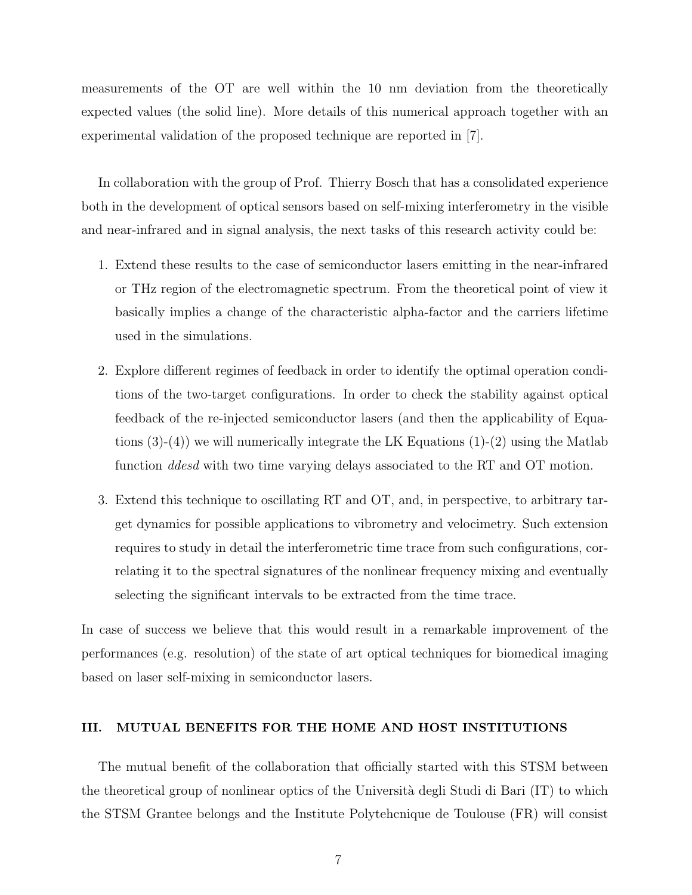measurements of the OT are well within the 10 nm deviation from the theoretically expected values (the solid line). More details of this numerical approach together with an experimental validation of the proposed technique are reported in [7].

In collaboration with the group of Prof. Thierry Bosch that has a consolidated experience both in the development of optical sensors based on self-mixing interferometry in the visible and near-infrared and in signal analysis, the next tasks of this research activity could be:

- 1. Extend these results to the case of semiconductor lasers emitting in the near-infrared or THz region of the electromagnetic spectrum. From the theoretical point of view it basically implies a change of the characteristic alpha-factor and the carriers lifetime used in the simulations.
- 2. Explore different regimes of feedback in order to identify the optimal operation conditions of the two-target configurations. In order to check the stability against optical feedback of the re-injected semiconductor lasers (and then the applicability of Equations  $(3)-(4)$ ) we will numerically integrate the LK Equations  $(1)-(2)$  using the Matlab function *ddesd* with two time varying delays associated to the RT and OT motion.
- 3. Extend this technique to oscillating RT and OT, and, in perspective, to arbitrary target dynamics for possible applications to vibrometry and velocimetry. Such extension requires to study in detail the interferometric time trace from such configurations, correlating it to the spectral signatures of the nonlinear frequency mixing and eventually selecting the significant intervals to be extracted from the time trace.

In case of success we believe that this would result in a remarkable improvement of the performances (e.g. resolution) of the state of art optical techniques for biomedical imaging based on laser self-mixing in semiconductor lasers.

#### III. MUTUAL BENEFITS FOR THE HOME AND HOST INSTITUTIONS

The mutual benefit of the collaboration that officially started with this STSM between the theoretical group of nonlinear optics of the Università degli Studi di Bari (IT) to which the STSM Grantee belongs and the Institute Polytehcnique de Toulouse (FR) will consist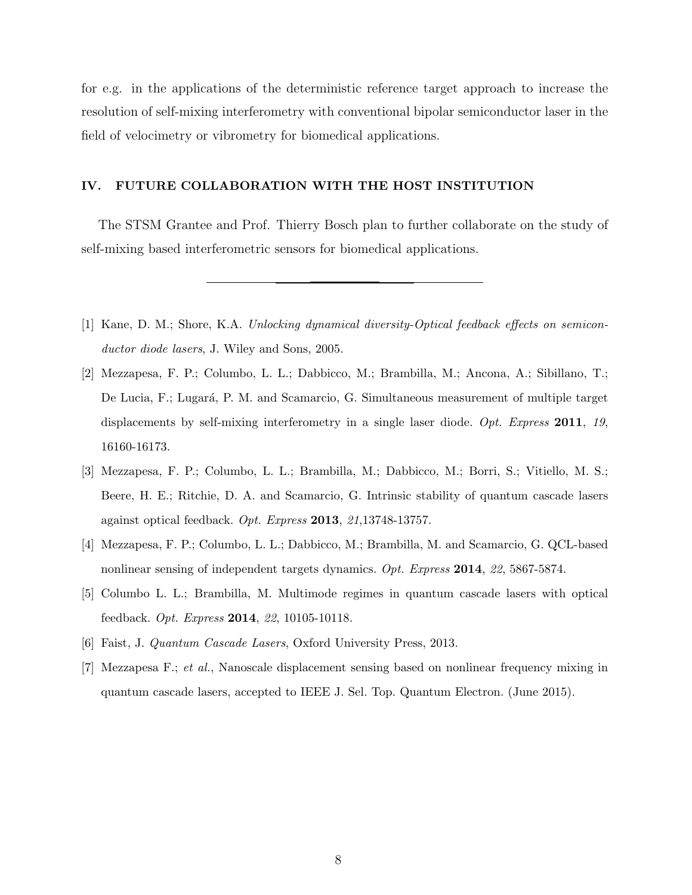for e.g. in the applications of the deterministic reference target approach to increase the resolution of self-mixing interferometry with conventional bipolar semiconductor laser in the field of velocimetry or vibrometry for biomedical applications.

#### IV. FUTURE COLLABORATION WITH THE HOST INSTITUTION

The STSM Grantee and Prof. Thierry Bosch plan to further collaborate on the study of self-mixing based interferometric sensors for biomedical applications.

- [1] Kane, D. M.; Shore, K.A. Unlocking dynamical diversity-Optical feedback effects on semiconductor diode lasers, J. Wiley and Sons, 2005.
- [2] Mezzapesa, F. P.; Columbo, L. L.; Dabbicco, M.; Brambilla, M.; Ancona, A.; Sibillano, T.; De Lucia, F.; Lugará, P. M. and Scamarcio, G. Simultaneous measurement of multiple target displacements by self-mixing interferometry in a single laser diode.  $Opt.$  Express 2011, 19, 16160-16173.
- [3] Mezzapesa, F. P.; Columbo, L. L.; Brambilla, M.; Dabbicco, M.; Borri, S.; Vitiello, M. S.; Beere, H. E.; Ritchie, D. A. and Scamarcio, G. Intrinsic stability of quantum cascade lasers against optical feedback. Opt. Express 2013, 21,13748-13757.
- [4] Mezzapesa, F. P.; Columbo, L. L.; Dabbicco, M.; Brambilla, M. and Scamarcio, G. QCL-based nonlinear sensing of independent targets dynamics. Opt. Express 2014, 22, 5867-5874.
- [5] Columbo L. L.; Brambilla, M. Multimode regimes in quantum cascade lasers with optical feedback. Opt. Express 2014, 22, 10105-10118.
- [6] Faist, J. Quantum Cascade Lasers, Oxford University Press, 2013.
- [7] Mezzapesa F.; et al., Nanoscale displacement sensing based on nonlinear frequency mixing in quantum cascade lasers, accepted to IEEE J. Sel. Top. Quantum Electron. (June 2015).